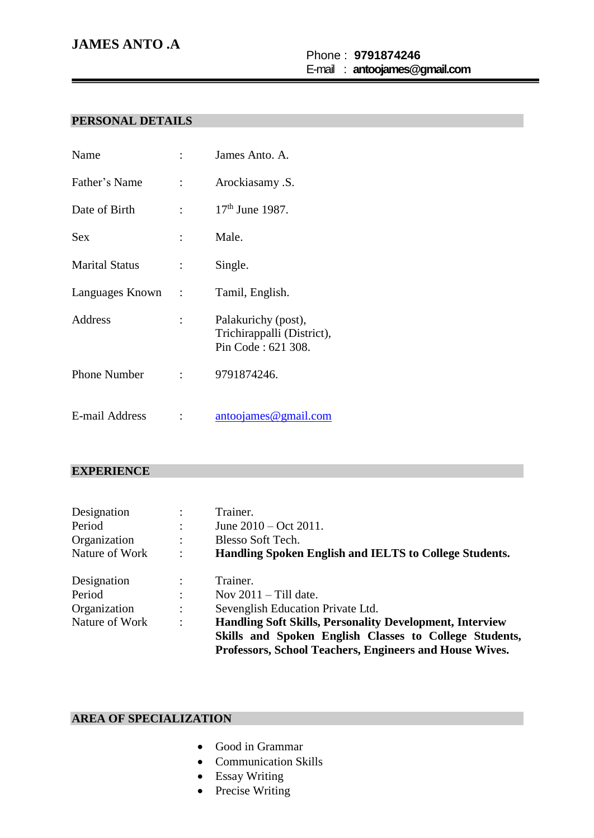# **JAMES ANTO .A**

### Phone : **9791874246** E-mail : **antoojames@gmail.com**

## **PERSONAL DETAILS**

| Name                  |                           | James Anto. A.                                                          |
|-----------------------|---------------------------|-------------------------------------------------------------------------|
| Father's Name         | $\mathbb{R}^{\mathbb{Z}}$ | Arockiasamy .S.                                                         |
| Date of Birth         |                           | $17th$ June 1987.                                                       |
| Sex                   |                           | Male.                                                                   |
| <b>Marital Status</b> | $\mathbb{R}^{\mathbb{Z}}$ | Single.                                                                 |
| Languages Known :     |                           | Tamil, English.                                                         |
| Address               |                           | Palakurichy (post),<br>Trichirappalli (District),<br>Pin Code: 621 308. |
| <b>Phone Number</b>   |                           | 9791874246.                                                             |
| E-mail Address        |                           | antoojames@gmail.com                                                    |

### **EXPERIENCE**

| Designation    | $\bullet$            | Trainer.                                                        |
|----------------|----------------------|-----------------------------------------------------------------|
| Period         | $\ddot{\cdot}$       | June $2010 - \text{Oct } 2011$ .                                |
| Organization   | $\ddot{\phantom{a}}$ | Blesso Soft Tech.                                               |
| Nature of Work | $\ddot{\cdot}$       | Handling Spoken English and IELTS to College Students.          |
| Designation    | $\ddot{\phantom{a}}$ | Trainer.                                                        |
| Period         | $\ddot{\cdot}$       | Nov $2011 -$ Till date.                                         |
| Organization   | $\ddot{\cdot}$       | Sevenglish Education Private Ltd.                               |
| Nature of Work | $\ddot{\cdot}$       | <b>Handling Soft Skills, Personality Development, Interview</b> |
|                |                      | Skills and Spoken English Classes to College Students,          |
|                |                      | Professors, School Teachers, Engineers and House Wives.         |

## **AREA OF SPECIALIZATION**

- Good in Grammar
- Communication Skills
- Essay Writing
- Precise Writing